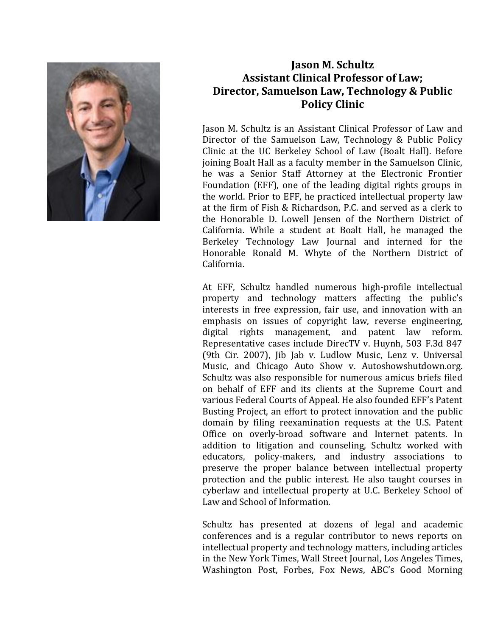

## **Jason M. Schultz Assistant Clinical Professor of Law; Director, Samuelson Law, Technology & Public Policy Clinic**

Jason M. Schultz is an Assistant Clinical Professor of Law and Director of the Samuelson Law, Technology & Public Policy Clinic at the UC Berkeley School of Law (Boalt Hall). Before joining Boalt Hall as a faculty member in the Samuelson Clinic, he was a Senior Staff Attorney at the Electronic Frontier Foundation (EFF), one of the leading digital rights groups in the world. Prior to EFF, he practiced intellectual property law at the firm of Fish & Richardson, P.C. and served as a clerk to the Honorable D. Lowell Jensen of the Northern District of California. While a student at Boalt Hall, he managed the Berkeley Technology Law Journal and interned for the Honorable Ronald M. Whyte of the Northern District of California.

At EFF, Schultz handled numerous high-profile intellectual property and technology matters affecting the public's interests in free expression, fair use, and innovation with an emphasis on issues of copyright law, reverse engineering, digital rights management, and patent law reform. Representative cases include DirecTV v. Huynh, 503 F.3d 847 (9th Cir. 2007), Jib Jab v. Ludlow Music, Lenz v. Universal Music, and Chicago Auto Show v. Autoshowshutdown.org. Schultz was also responsible for numerous amicus briefs filed on behalf of EFF and its clients at the Supreme Court and various Federal Courts of Appeal. He also founded EFF's Patent Busting Project, an effort to protect innovation and the public domain by filing reexamination requests at the U.S. Patent Office on overly-broad software and Internet patents. In addition to litigation and counseling, Schultz worked with educators, policy-makers, and industry associations to preserve the proper balance between intellectual property protection and the public interest. He also taught courses in cyberlaw and intellectual property at U.C. Berkeley School of Law and School of Information.

Schultz has presented at dozens of legal and academic conferences and is a regular contributor to news reports on intellectual property and technology matters, including articles in the New York Times, Wall Street Journal, Los Angeles Times, Washington Post, Forbes, Fox News, ABC's Good Morning